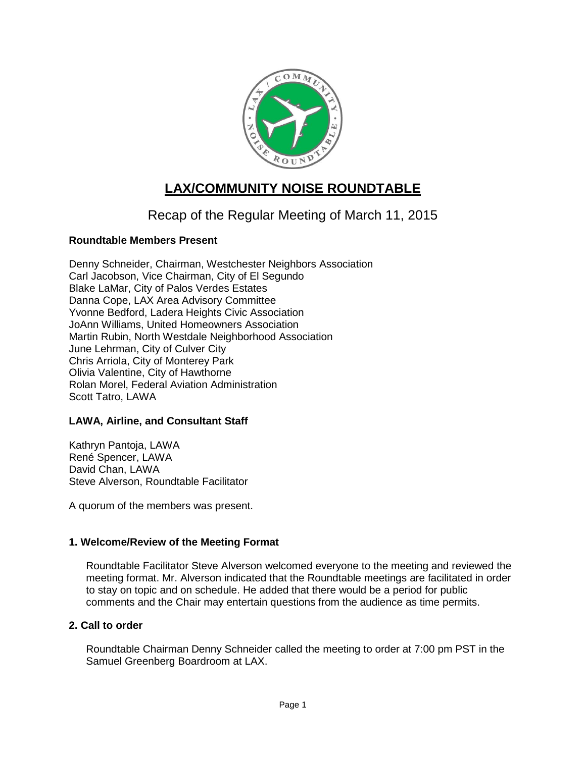

# **LAX/COMMUNITY NOISE ROUNDTABLE**

# Recap of the Regular Meeting of March 11, 2015

# **Roundtable Members Present**

Denny Schneider, Chairman, Westchester Neighbors Association Carl Jacobson, Vice Chairman, City of El Segundo Blake LaMar, City of Palos Verdes Estates Danna Cope, LAX Area Advisory Committee Yvonne Bedford, Ladera Heights Civic Association JoAnn Williams, United Homeowners Association Martin Rubin, North Westdale Neighborhood Association June Lehrman, City of Culver City Chris Arriola, City of Monterey Park Olivia Valentine, City of Hawthorne Rolan Morel, Federal Aviation Administration Scott Tatro, LAWA

### **LAWA, Airline, and Consultant Staff**

Kathryn Pantoja, LAWA René Spencer, LAWA David Chan, LAWA Steve Alverson, Roundtable Facilitator

A quorum of the members was present.

### **1. Welcome/Review of the Meeting Format**

Roundtable Facilitator Steve Alverson welcomed everyone to the meeting and reviewed the meeting format. Mr. Alverson indicated that the Roundtable meetings are facilitated in order to stay on topic and on schedule. He added that there would be a period for public comments and the Chair may entertain questions from the audience as time permits.

## **2. Call to order**

Roundtable Chairman Denny Schneider called the meeting to order at 7:00 pm PST in the Samuel Greenberg Boardroom at LAX.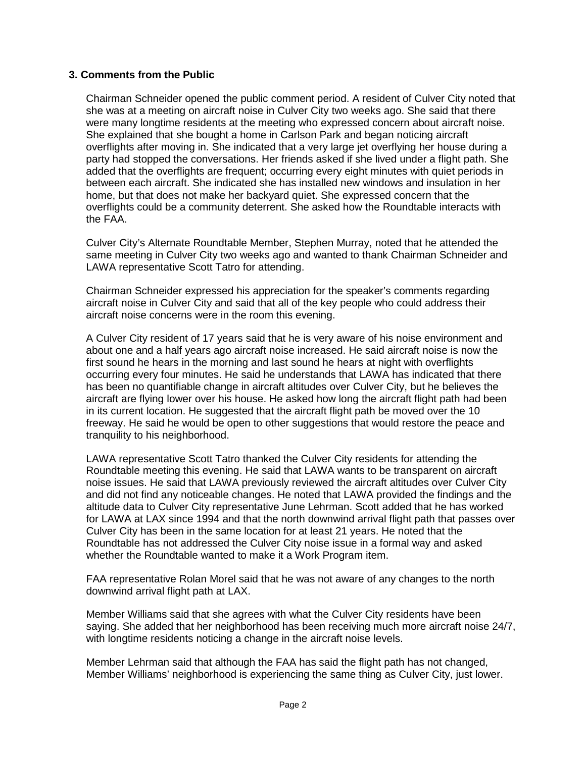## **3. Comments from the Public**

Chairman Schneider opened the public comment period. A resident of Culver City noted that she was at a meeting on aircraft noise in Culver City two weeks ago. She said that there were many longtime residents at the meeting who expressed concern about aircraft noise. She explained that she bought a home in Carlson Park and began noticing aircraft overflights after moving in. She indicated that a very large jet overflying her house during a party had stopped the conversations. Her friends asked if she lived under a flight path. She added that the overflights are frequent; occurring every eight minutes with quiet periods in between each aircraft. She indicated she has installed new windows and insulation in her home, but that does not make her backyard quiet. She expressed concern that the overflights could be a community deterrent. She asked how the Roundtable interacts with the FAA.

Culver City's Alternate Roundtable Member, Stephen Murray, noted that he attended the same meeting in Culver City two weeks ago and wanted to thank Chairman Schneider and LAWA representative Scott Tatro for attending.

Chairman Schneider expressed his appreciation for the speaker's comments regarding aircraft noise in Culver City and said that all of the key people who could address their aircraft noise concerns were in the room this evening.

A Culver City resident of 17 years said that he is very aware of his noise environment and about one and a half years ago aircraft noise increased. He said aircraft noise is now the first sound he hears in the morning and last sound he hears at night with overflights occurring every four minutes. He said he understands that LAWA has indicated that there has been no quantifiable change in aircraft altitudes over Culver City, but he believes the aircraft are flying lower over his house. He asked how long the aircraft flight path had been in its current location. He suggested that the aircraft flight path be moved over the 10 freeway. He said he would be open to other suggestions that would restore the peace and tranquility to his neighborhood.

LAWA representative Scott Tatro thanked the Culver City residents for attending the Roundtable meeting this evening. He said that LAWA wants to be transparent on aircraft noise issues. He said that LAWA previously reviewed the aircraft altitudes over Culver City and did not find any noticeable changes. He noted that LAWA provided the findings and the altitude data to Culver City representative June Lehrman. Scott added that he has worked for LAWA at LAX since 1994 and that the north downwind arrival flight path that passes over Culver City has been in the same location for at least 21 years. He noted that the Roundtable has not addressed the Culver City noise issue in a formal way and asked whether the Roundtable wanted to make it a Work Program item.

FAA representative Rolan Morel said that he was not aware of any changes to the north downwind arrival flight path at LAX.

Member Williams said that she agrees with what the Culver City residents have been saying. She added that her neighborhood has been receiving much more aircraft noise 24/7, with longtime residents noticing a change in the aircraft noise levels.

Member Lehrman said that although the FAA has said the flight path has not changed, Member Williams' neighborhood is experiencing the same thing as Culver City, just lower.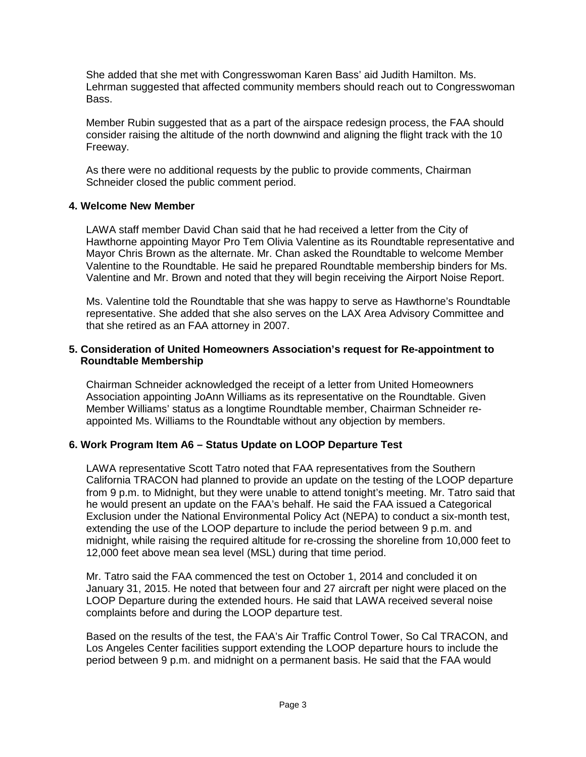She added that she met with Congresswoman Karen Bass' aid Judith Hamilton. Ms. Lehrman suggested that affected community members should reach out to Congresswoman Bass.

Member Rubin suggested that as a part of the airspace redesign process, the FAA should consider raising the altitude of the north downwind and aligning the flight track with the 10 Freeway.

As there were no additional requests by the public to provide comments, Chairman Schneider closed the public comment period.

### **4. Welcome New Member**

LAWA staff member David Chan said that he had received a letter from the City of Hawthorne appointing Mayor Pro Tem Olivia Valentine as its Roundtable representative and Mayor Chris Brown as the alternate. Mr. Chan asked the Roundtable to welcome Member Valentine to the Roundtable. He said he prepared Roundtable membership binders for Ms. Valentine and Mr. Brown and noted that they will begin receiving the Airport Noise Report.

Ms. Valentine told the Roundtable that she was happy to serve as Hawthorne's Roundtable representative. She added that she also serves on the LAX Area Advisory Committee and that she retired as an FAA attorney in 2007.

#### **5. Consideration of United Homeowners Association's request for Re-appointment to Roundtable Membership**

Chairman Schneider acknowledged the receipt of a letter from United Homeowners Association appointing JoAnn Williams as its representative on the Roundtable. Given Member Williams' status as a longtime Roundtable member, Chairman Schneider reappointed Ms. Williams to the Roundtable without any objection by members.

# **6. Work Program Item A6 – Status Update on LOOP Departure Test**

LAWA representative Scott Tatro noted that FAA representatives from the Southern California TRACON had planned to provide an update on the testing of the LOOP departure from 9 p.m. to Midnight, but they were unable to attend tonight's meeting. Mr. Tatro said that he would present an update on the FAA's behalf. He said the FAA issued a Categorical Exclusion under the National Environmental Policy Act (NEPA) to conduct a six-month test, extending the use of the LOOP departure to include the period between 9 p.m. and midnight, while raising the required altitude for re-crossing the shoreline from 10,000 feet to 12,000 feet above mean sea level (MSL) during that time period.

Mr. Tatro said the FAA commenced the test on October 1, 2014 and concluded it on January 31, 2015. He noted that between four and 27 aircraft per night were placed on the LOOP Departure during the extended hours. He said that LAWA received several noise complaints before and during the LOOP departure test.

Based on the results of the test, the FAA's Air Traffic Control Tower, So Cal TRACON, and Los Angeles Center facilities support extending the LOOP departure hours to include the period between 9 p.m. and midnight on a permanent basis. He said that the FAA would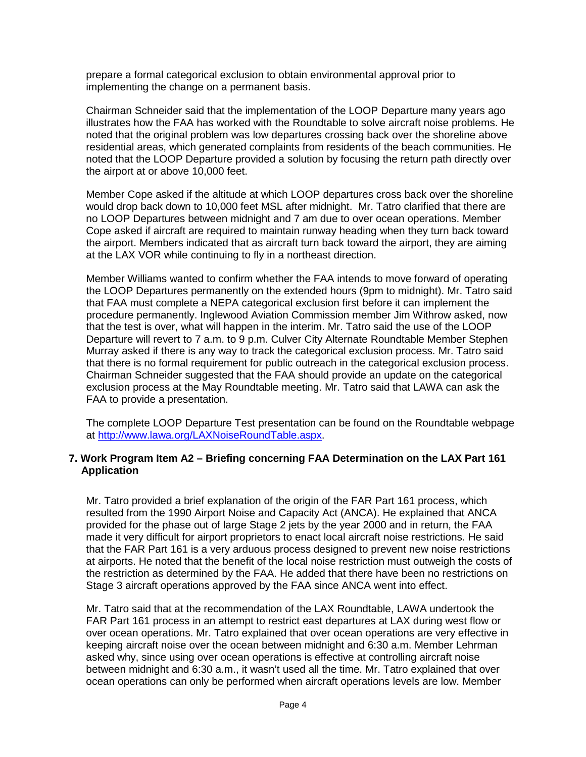prepare a formal categorical exclusion to obtain environmental approval prior to implementing the change on a permanent basis.

Chairman Schneider said that the implementation of the LOOP Departure many years ago illustrates how the FAA has worked with the Roundtable to solve aircraft noise problems. He noted that the original problem was low departures crossing back over the shoreline above residential areas, which generated complaints from residents of the beach communities. He noted that the LOOP Departure provided a solution by focusing the return path directly over the airport at or above 10,000 feet.

Member Cope asked if the altitude at which LOOP departures cross back over the shoreline would drop back down to 10,000 feet MSL after midnight. Mr. Tatro clarified that there are no LOOP Departures between midnight and 7 am due to over ocean operations. Member Cope asked if aircraft are required to maintain runway heading when they turn back toward the airport. Members indicated that as aircraft turn back toward the airport, they are aiming at the LAX VOR while continuing to fly in a northeast direction.

Member Williams wanted to confirm whether the FAA intends to move forward of operating the LOOP Departures permanently on the extended hours (9pm to midnight). Mr. Tatro said that FAA must complete a NEPA categorical exclusion first before it can implement the procedure permanently. Inglewood Aviation Commission member Jim Withrow asked, now that the test is over, what will happen in the interim. Mr. Tatro said the use of the LOOP Departure will revert to 7 a.m. to 9 p.m. Culver City Alternate Roundtable Member Stephen Murray asked if there is any way to track the categorical exclusion process. Mr. Tatro said that there is no formal requirement for public outreach in the categorical exclusion process. Chairman Schneider suggested that the FAA should provide an update on the categorical exclusion process at the May Roundtable meeting. Mr. Tatro said that LAWA can ask the FAA to provide a presentation.

The complete LOOP Departure Test presentation can be found on the Roundtable webpage at [http://www.lawa.org/LAXNoiseRoundTable.aspx.](http://www.lawa.org/LAXNoiseRoundTable.aspx)

### **7. Work Program Item A2 – Briefing concerning FAA Determination on the LAX Part 161 Application**

Mr. Tatro provided a brief explanation of the origin of the FAR Part 161 process, which resulted from the 1990 Airport Noise and Capacity Act (ANCA). He explained that ANCA provided for the phase out of large Stage 2 jets by the year 2000 and in return, the FAA made it very difficult for airport proprietors to enact local aircraft noise restrictions. He said that the FAR Part 161 is a very arduous process designed to prevent new noise restrictions at airports. He noted that the benefit of the local noise restriction must outweigh the costs of the restriction as determined by the FAA. He added that there have been no restrictions on Stage 3 aircraft operations approved by the FAA since ANCA went into effect.

Mr. Tatro said that at the recommendation of the LAX Roundtable, LAWA undertook the FAR Part 161 process in an attempt to restrict east departures at LAX during west flow or over ocean operations. Mr. Tatro explained that over ocean operations are very effective in keeping aircraft noise over the ocean between midnight and 6:30 a.m. Member Lehrman asked why, since using over ocean operations is effective at controlling aircraft noise between midnight and 6:30 a.m., it wasn't used all the time. Mr. Tatro explained that over ocean operations can only be performed when aircraft operations levels are low. Member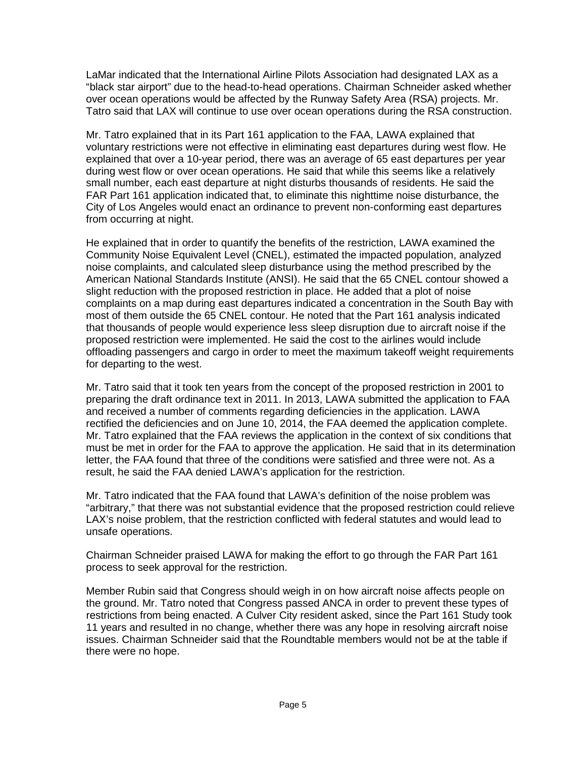LaMar indicated that the International Airline Pilots Association had designated LAX as a "black star airport" due to the head-to-head operations. Chairman Schneider asked whether over ocean operations would be affected by the Runway Safety Area (RSA) projects. Mr. Tatro said that LAX will continue to use over ocean operations during the RSA construction.

Mr. Tatro explained that in its Part 161 application to the FAA, LAWA explained that voluntary restrictions were not effective in eliminating east departures during west flow. He explained that over a 10-year period, there was an average of 65 east departures per year during west flow or over ocean operations. He said that while this seems like a relatively small number, each east departure at night disturbs thousands of residents. He said the FAR Part 161 application indicated that, to eliminate this nighttime noise disturbance, the City of Los Angeles would enact an ordinance to prevent non-conforming east departures from occurring at night.

He explained that in order to quantify the benefits of the restriction, LAWA examined the Community Noise Equivalent Level (CNEL), estimated the impacted population, analyzed noise complaints, and calculated sleep disturbance using the method prescribed by the American National Standards Institute (ANSI). He said that the 65 CNEL contour showed a slight reduction with the proposed restriction in place. He added that a plot of noise complaints on a map during east departures indicated a concentration in the South Bay with most of them outside the 65 CNEL contour. He noted that the Part 161 analysis indicated that thousands of people would experience less sleep disruption due to aircraft noise if the proposed restriction were implemented. He said the cost to the airlines would include offloading passengers and cargo in order to meet the maximum takeoff weight requirements for departing to the west.

Mr. Tatro said that it took ten years from the concept of the proposed restriction in 2001 to preparing the draft ordinance text in 2011. In 2013, LAWA submitted the application to FAA and received a number of comments regarding deficiencies in the application. LAWA rectified the deficiencies and on June 10, 2014, the FAA deemed the application complete. Mr. Tatro explained that the FAA reviews the application in the context of six conditions that must be met in order for the FAA to approve the application. He said that in its determination letter, the FAA found that three of the conditions were satisfied and three were not. As a result, he said the FAA denied LAWA's application for the restriction.

Mr. Tatro indicated that the FAA found that LAWA's definition of the noise problem was "arbitrary," that there was not substantial evidence that the proposed restriction could relieve LAX's noise problem, that the restriction conflicted with federal statutes and would lead to unsafe operations.

Chairman Schneider praised LAWA for making the effort to go through the FAR Part 161 process to seek approval for the restriction.

Member Rubin said that Congress should weigh in on how aircraft noise affects people on the ground. Mr. Tatro noted that Congress passed ANCA in order to prevent these types of restrictions from being enacted. A Culver City resident asked, since the Part 161 Study took 11 years and resulted in no change, whether there was any hope in resolving aircraft noise issues. Chairman Schneider said that the Roundtable members would not be at the table if there were no hope.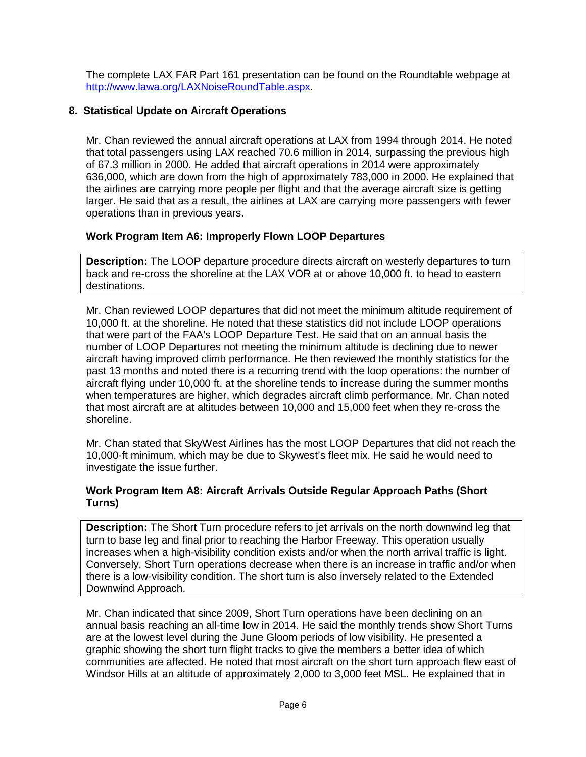The complete LAX FAR Part 161 presentation can be found on the Roundtable webpage at [http://www.lawa.org/LAXNoiseRoundTable.aspx.](http://www.lawa.org/LAXNoiseRoundTable.aspx)

# **8. Statistical Update on Aircraft Operations**

Mr. Chan reviewed the annual aircraft operations at LAX from 1994 through 2014. He noted that total passengers using LAX reached 70.6 million in 2014, surpassing the previous high of 67.3 million in 2000. He added that aircraft operations in 2014 were approximately 636,000, which are down from the high of approximately 783,000 in 2000. He explained that the airlines are carrying more people per flight and that the average aircraft size is getting larger. He said that as a result, the airlines at LAX are carrying more passengers with fewer operations than in previous years.

# **Work Program Item A6: Improperly Flown LOOP Departures**

**Description:** The LOOP departure procedure directs aircraft on westerly departures to turn back and re-cross the shoreline at the LAX VOR at or above 10,000 ft. to head to eastern destinations.

Mr. Chan reviewed LOOP departures that did not meet the minimum altitude requirement of 10,000 ft. at the shoreline. He noted that these statistics did not include LOOP operations that were part of the FAA's LOOP Departure Test. He said that on an annual basis the number of LOOP Departures not meeting the minimum altitude is declining due to newer aircraft having improved climb performance. He then reviewed the monthly statistics for the past 13 months and noted there is a recurring trend with the loop operations: the number of aircraft flying under 10,000 ft. at the shoreline tends to increase during the summer months when temperatures are higher, which degrades aircraft climb performance. Mr. Chan noted that most aircraft are at altitudes between 10,000 and 15,000 feet when they re-cross the shoreline.

Mr. Chan stated that SkyWest Airlines has the most LOOP Departures that did not reach the 10,000-ft minimum, which may be due to Skywest's fleet mix. He said he would need to investigate the issue further.

### **Work Program Item A8: Aircraft Arrivals Outside Regular Approach Paths (Short Turns)**

**Description:** The Short Turn procedure refers to jet arrivals on the north downwind leg that turn to base leg and final prior to reaching the Harbor Freeway. This operation usually increases when a high-visibility condition exists and/or when the north arrival traffic is light. Conversely, Short Turn operations decrease when there is an increase in traffic and/or when there is a low-visibility condition. The short turn is also inversely related to the Extended Downwind Approach.

Mr. Chan indicated that since 2009, Short Turn operations have been declining on an annual basis reaching an all-time low in 2014. He said the monthly trends show Short Turns are at the lowest level during the June Gloom periods of low visibility. He presented a graphic showing the short turn flight tracks to give the members a better idea of which communities are affected. He noted that most aircraft on the short turn approach flew east of Windsor Hills at an altitude of approximately 2,000 to 3,000 feet MSL. He explained that in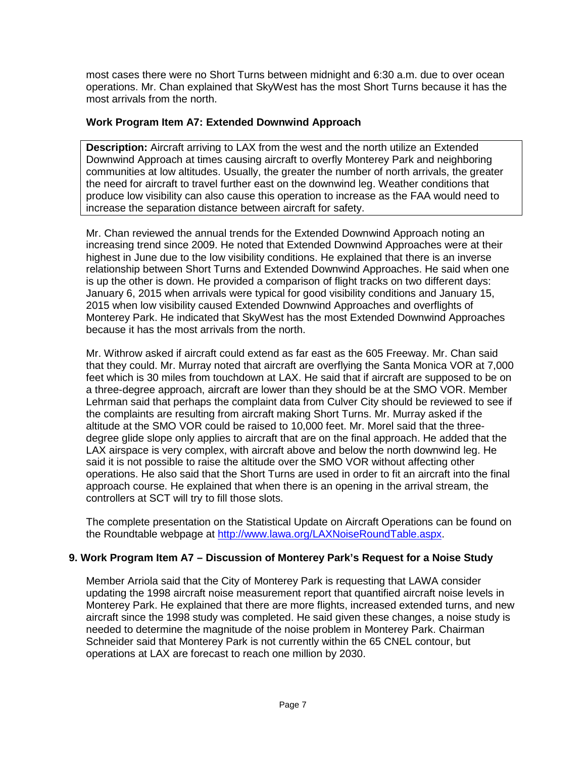most cases there were no Short Turns between midnight and 6:30 a.m. due to over ocean operations. Mr. Chan explained that SkyWest has the most Short Turns because it has the most arrivals from the north.

# **Work Program Item A7: Extended Downwind Approach**

**Description:** Aircraft arriving to LAX from the west and the north utilize an Extended Downwind Approach at times causing aircraft to overfly Monterey Park and neighboring communities at low altitudes. Usually, the greater the number of north arrivals, the greater the need for aircraft to travel further east on the downwind leg. Weather conditions that produce low visibility can also cause this operation to increase as the FAA would need to increase the separation distance between aircraft for safety.

Mr. Chan reviewed the annual trends for the Extended Downwind Approach noting an increasing trend since 2009. He noted that Extended Downwind Approaches were at their highest in June due to the low visibility conditions. He explained that there is an inverse relationship between Short Turns and Extended Downwind Approaches. He said when one is up the other is down. He provided a comparison of flight tracks on two different days: January 6, 2015 when arrivals were typical for good visibility conditions and January 15, 2015 when low visibility caused Extended Downwind Approaches and overflights of Monterey Park. He indicated that SkyWest has the most Extended Downwind Approaches because it has the most arrivals from the north.

Mr. Withrow asked if aircraft could extend as far east as the 605 Freeway. Mr. Chan said that they could. Mr. Murray noted that aircraft are overflying the Santa Monica VOR at 7,000 feet which is 30 miles from touchdown at LAX. He said that if aircraft are supposed to be on a three-degree approach, aircraft are lower than they should be at the SMO VOR. Member Lehrman said that perhaps the complaint data from Culver City should be reviewed to see if the complaints are resulting from aircraft making Short Turns. Mr. Murray asked if the altitude at the SMO VOR could be raised to 10,000 feet. Mr. Morel said that the threedegree glide slope only applies to aircraft that are on the final approach. He added that the LAX airspace is very complex, with aircraft above and below the north downwind leg. He said it is not possible to raise the altitude over the SMO VOR without affecting other operations. He also said that the Short Turns are used in order to fit an aircraft into the final approach course. He explained that when there is an opening in the arrival stream, the controllers at SCT will try to fill those slots.

The complete presentation on the Statistical Update on Aircraft Operations can be found on the Roundtable webpage at [http://www.lawa.org/LAXNoiseRoundTable.aspx.](http://www.lawa.org/LAXNoiseRoundTable.aspx)

# **9. Work Program Item A7 – Discussion of Monterey Park's Request for a Noise Study**

Member Arriola said that the City of Monterey Park is requesting that LAWA consider updating the 1998 aircraft noise measurement report that quantified aircraft noise levels in Monterey Park. He explained that there are more flights, increased extended turns, and new aircraft since the 1998 study was completed. He said given these changes, a noise study is needed to determine the magnitude of the noise problem in Monterey Park. Chairman Schneider said that Monterey Park is not currently within the 65 CNEL contour, but operations at LAX are forecast to reach one million by 2030.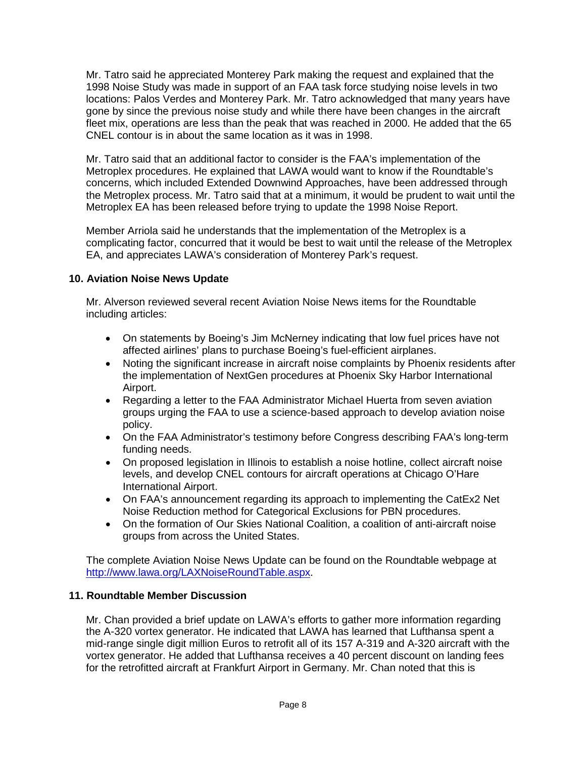Mr. Tatro said he appreciated Monterey Park making the request and explained that the 1998 Noise Study was made in support of an FAA task force studying noise levels in two locations: Palos Verdes and Monterey Park. Mr. Tatro acknowledged that many years have gone by since the previous noise study and while there have been changes in the aircraft fleet mix, operations are less than the peak that was reached in 2000. He added that the 65 CNEL contour is in about the same location as it was in 1998.

Mr. Tatro said that an additional factor to consider is the FAA's implementation of the Metroplex procedures. He explained that LAWA would want to know if the Roundtable's concerns, which included Extended Downwind Approaches, have been addressed through the Metroplex process. Mr. Tatro said that at a minimum, it would be prudent to wait until the Metroplex EA has been released before trying to update the 1998 Noise Report.

Member Arriola said he understands that the implementation of the Metroplex is a complicating factor, concurred that it would be best to wait until the release of the Metroplex EA, and appreciates LAWA's consideration of Monterey Park's request.

# **10. Aviation Noise News Update**

Mr. Alverson reviewed several recent Aviation Noise News items for the Roundtable including articles:

- On statements by Boeing's Jim McNerney indicating that low fuel prices have not affected airlines' plans to purchase Boeing's fuel-efficient airplanes.
- Noting the significant increase in aircraft noise complaints by Phoenix residents after the implementation of NextGen procedures at Phoenix Sky Harbor International Airport.
- Regarding a letter to the FAA Administrator Michael Huerta from seven aviation groups urging the FAA to use a science-based approach to develop aviation noise policy.
- On the FAA Administrator's testimony before Congress describing FAA's long-term funding needs.
- On proposed legislation in Illinois to establish a noise hotline, collect aircraft noise levels, and develop CNEL contours for aircraft operations at Chicago O'Hare International Airport.
- On FAA's announcement regarding its approach to implementing the CatEx2 Net Noise Reduction method for Categorical Exclusions for PBN procedures.
- On the formation of Our Skies National Coalition, a coalition of anti-aircraft noise groups from across the United States.

The complete Aviation Noise News Update can be found on the Roundtable webpage at [http://www.lawa.org/LAXNoiseRoundTable.aspx.](http://www.lawa.org/LAXNoiseRoundTable.aspx)

# **11. Roundtable Member Discussion**

Mr. Chan provided a brief update on LAWA's efforts to gather more information regarding the A-320 vortex generator. He indicated that LAWA has learned that Lufthansa spent a mid-range single digit million Euros to retrofit all of its 157 A-319 and A-320 aircraft with the vortex generator. He added that Lufthansa receives a 40 percent discount on landing fees for the retrofitted aircraft at Frankfurt Airport in Germany. Mr. Chan noted that this is